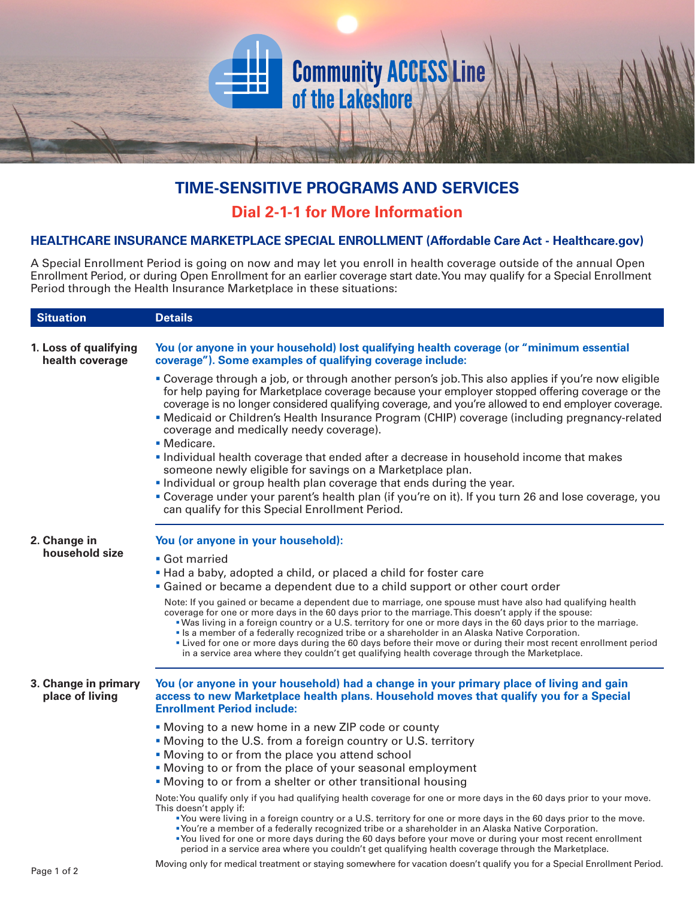## **TIME-SENSITIVE PROGRAMS AND SERVICES**

**Community ACCESS Line**<br>of the Lakeshore

## **Dial 2-1-1 for More Information**

## **HEALTHCARE INSURANCE MARKETPLACE SPECIAL ENROLLMENT (Affordable Care Act - Healthcare.gov)**

A Special Enrollment Period is going on now and may let you enroll in health coverage outside of the annual Open Enrollment Period, or during Open Enrollment for an earlier coverage start date. You may qualify for a Special Enrollment Period through the Health Insurance Marketplace in these situations:

| <b>Situation</b>                         | <b>Details</b>                                                                                                                                                                                                                                                                                                                                                                                                                                                                                                                                                                                                                                                 |
|------------------------------------------|----------------------------------------------------------------------------------------------------------------------------------------------------------------------------------------------------------------------------------------------------------------------------------------------------------------------------------------------------------------------------------------------------------------------------------------------------------------------------------------------------------------------------------------------------------------------------------------------------------------------------------------------------------------|
| 1. Loss of qualifying<br>health coverage | You (or anyone in your household) lost qualifying health coverage (or "minimum essential<br>coverage"). Some examples of qualifying coverage include:                                                                                                                                                                                                                                                                                                                                                                                                                                                                                                          |
|                                          | • Coverage through a job, or through another person's job. This also applies if you're now eligible<br>for help paying for Marketplace coverage because your employer stopped offering coverage or the<br>coverage is no longer considered qualifying coverage, and you're allowed to end employer coverage.<br>• Medicaid or Children's Health Insurance Program (CHIP) coverage (including pregnancy-related<br>coverage and medically needy coverage).<br>· Medicare.                                                                                                                                                                                       |
|                                          | Individual health coverage that ended after a decrease in household income that makes<br>someone newly eligible for savings on a Marketplace plan.<br>. Individual or group health plan coverage that ends during the year.<br>• Coverage under your parent's health plan (if you're on it). If you turn 26 and lose coverage, you                                                                                                                                                                                                                                                                                                                             |
|                                          | can qualify for this Special Enrollment Period.                                                                                                                                                                                                                                                                                                                                                                                                                                                                                                                                                                                                                |
| 2. Change in<br>household size           | You (or anyone in your household):                                                                                                                                                                                                                                                                                                                                                                                                                                                                                                                                                                                                                             |
|                                          | • Got married                                                                                                                                                                                                                                                                                                                                                                                                                                                                                                                                                                                                                                                  |
|                                          | . Had a baby, adopted a child, or placed a child for foster care                                                                                                                                                                                                                                                                                                                                                                                                                                                                                                                                                                                               |
|                                          | • Gained or became a dependent due to a child support or other court order                                                                                                                                                                                                                                                                                                                                                                                                                                                                                                                                                                                     |
|                                          | Note: If you gained or became a dependent due to marriage, one spouse must have also had qualifying health<br>coverage for one or more days in the 60 days prior to the marriage. This doesn't apply if the spouse:<br>. Was living in a foreign country or a U.S. territory for one or more days in the 60 days prior to the marriage.<br>• Is a member of a federally recognized tribe or a shareholder in an Alaska Native Corporation.<br>• Lived for one or more days during the 60 days before their move or during their most recent enrollment period<br>in a service area where they couldn't get qualifying health coverage through the Marketplace. |
| 3. Change in primary<br>place of living  | You (or anyone in your household) had a change in your primary place of living and gain<br>access to new Marketplace health plans. Household moves that qualify you for a Special<br><b>Enrollment Period include:</b>                                                                                                                                                                                                                                                                                                                                                                                                                                         |
|                                          | • Moving to a new home in a new ZIP code or county                                                                                                                                                                                                                                                                                                                                                                                                                                                                                                                                                                                                             |
|                                          | . Moving to the U.S. from a foreign country or U.S. territory                                                                                                                                                                                                                                                                                                                                                                                                                                                                                                                                                                                                  |
|                                          | . Moving to or from the place you attend school                                                                                                                                                                                                                                                                                                                                                                                                                                                                                                                                                                                                                |
|                                          | • Moving to or from the place of your seasonal employment                                                                                                                                                                                                                                                                                                                                                                                                                                                                                                                                                                                                      |
|                                          | • Moving to or from a shelter or other transitional housing                                                                                                                                                                                                                                                                                                                                                                                                                                                                                                                                                                                                    |
|                                          | Note: You qualify only if you had qualifying health coverage for one or more days in the 60 days prior to your move.<br>This doesn't apply if:<br>•You were living in a foreign country or a U.S. territory for one or more days in the 60 days prior to the move.<br>• You're a member of a federally recognized tribe or a shareholder in an Alaska Native Corporation.<br>•You lived for one or more days during the 60 days before your move or during your most recent enrollment<br>period in a service area where you couldn't get qualifying health coverage through the Marketplace.                                                                  |
|                                          | Moving only for modical tractment ar atoving computiors for vegetion decep't qualify you for a Capaial Enrollment Period                                                                                                                                                                                                                                                                                                                                                                                                                                                                                                                                       |

Moving only for medical treatment or staying somewhere for vacation doesn't qualify you for a Special Enrollment Period. Page 1 of 2